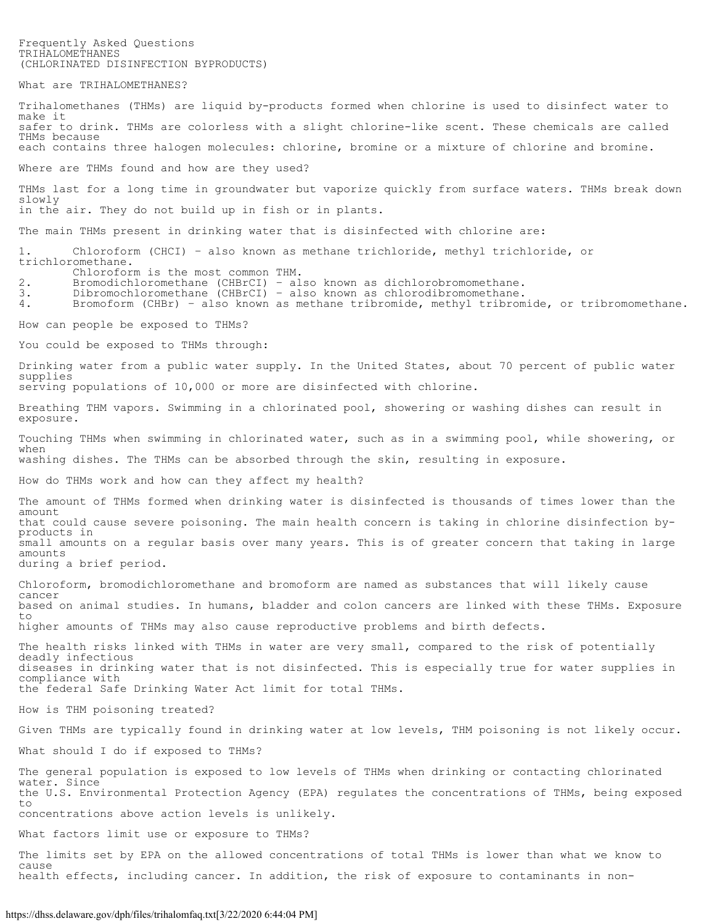Frequently Asked Questions TRIHALOMETHANES (CHLORINATED DISINFECTION BYPRODUCTS)

What are TRIHALOMETHANES?

Trihalomethanes (THMs) are liquid by-products formed when chlorine is used to disinfect water to make it safer to drink. THMs are colorless with a slight chlorine-like scent. These chemicals are called THMs because each contains three halogen molecules: chlorine, bromine or a mixture of chlorine and bromine.

Where are THMs found and how are they used?

THMs last for a long time in groundwater but vaporize quickly from surface waters. THMs break down slowly in the air. They do not build up in fish or in plants.

The main THMs present in drinking water that is disinfected with chlorine are:

1. Chloroform (CHCI) – also known as methane trichloride, methyl trichloride, or trichloromethane.

- Chloroform is the most common THM.
- 2. Bromodichloromethane (CHBrCI) also known as dichlorobromomethane.
- 3. Dibromochloromethane (CHBrCI) also known as chlorodibromomethane.

4. Bromoform (CHBr) – also known as methane tribromide, methyl tribromide, or tribromomethane.

How can people be exposed to THMs?

You could be exposed to THMs through:

Drinking water from a public water supply. In the United States, about 70 percent of public water supplies serving populations of 10,000 or more are disinfected with chlorine.

Breathing THM vapors. Swimming in a chlorinated pool, showering or washing dishes can result in exposure.

Touching THMs when swimming in chlorinated water, such as in a swimming pool, while showering, or when washing dishes. The THMs can be absorbed through the skin, resulting in exposure.

How do THMs work and how can they affect my health?

The amount of THMs formed when drinking water is disinfected is thousands of times lower than the amount that could cause severe poisoning. The main health concern is taking in chlorine disinfection byproducts in small amounts on a regular basis over many years. This is of greater concern that taking in large amounts during a brief period.

Chloroform, bromodichloromethane and bromoform are named as substances that will likely cause cancer based on animal studies. In humans, bladder and colon cancers are linked with these THMs. Exposure to higher amounts of THMs may also cause reproductive problems and birth defects.

The health risks linked with THMs in water are very small, compared to the risk of potentially deadly infectious diseases in drinking water that is not disinfected. This is especially true for water supplies in compliance with the federal Safe Drinking Water Act limit for total THMs.

How is THM poisoning treated?

Given THMs are typically found in drinking water at low levels, THM poisoning is not likely occur. What should I do if exposed to THMs?

The general population is exposed to low levels of THMs when drinking or contacting chlorinated water. Since the U.S. Environmental Protection Agency (EPA) regulates the concentrations of THMs, being exposed to concentrations above action levels is unlikely.

What factors limit use or exposure to THMs?

The limits set by EPA on the allowed concentrations of total THMs is lower than what we know to cause health effects, including cancer. In addition, the risk of exposure to contaminants in non-